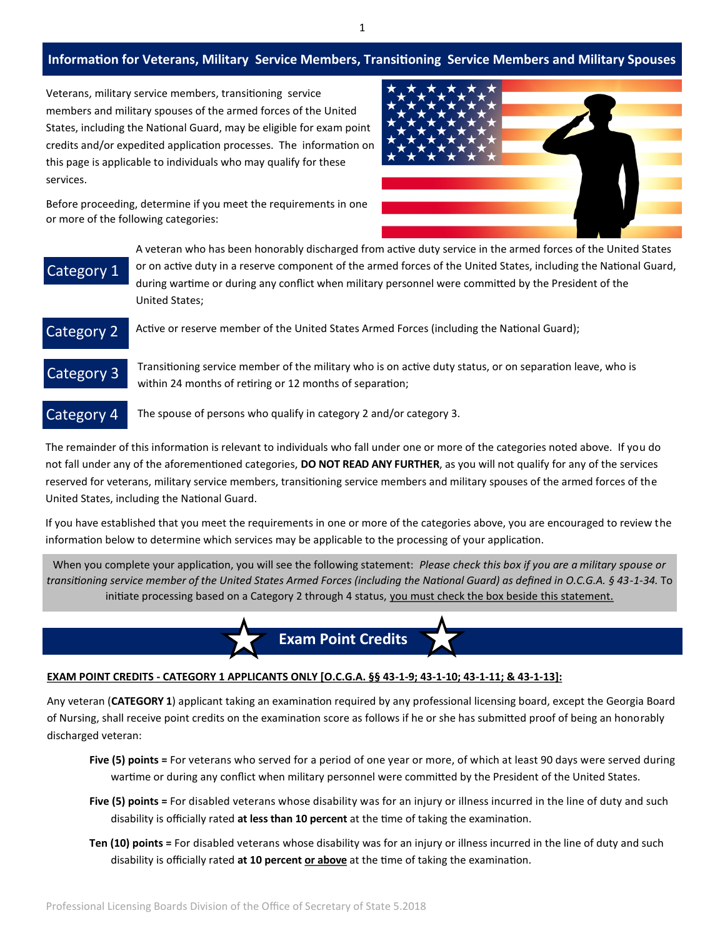### **Information for Veterans, Military Service Members, Transitioning Service Members and Military Spouses**

Veterans, military service members, transitioning service members and military spouses of the armed forces of the United States, including the National Guard, may be eligible for exam point credits and/or expedited application processes. The information on this page is applicable to individuals who may qualify for these services.



Before proceeding, determine if you meet the requirements in one or more of the following categories:

# Category 1

A veteran who has been honorably discharged from active duty service in the armed forces of the United States or on active duty in a reserve component of the armed forces of the United States, including the National Guard, during wartime or during any conflict when military personnel were committed by the President of the United States;

## Category 2

Active or reserve member of the United States Armed Forces (including the National Guard);

Category 3

Transitioning service member of the military who is on active duty status, or on separation leave, who is within 24 months of retiring or 12 months of separation;

### Category 4

The spouse of persons who qualify in category 2 and/or category 3.

The remainder of this information is relevant to individuals who fall under one or more of the categories noted above. If you do not fall under any of the aforementioned categories, **DO NOT READ ANY FURTHER**, as you will not qualify for any of the services reserved for veterans, military service members, transitioning service members and military spouses of the armed forces of the United States, including the National Guard.

If you have established that you meet the requirements in one or more of the categories above, you are encouraged to review the information below to determine which services may be applicable to the processing of your application.

When you complete your application, you will see the following statement: *Please check this box if you are a military spouse or transitioning service member of the United States Armed Forces (including the National Guard) as defined in O.C.G.A. § 43-1-34.* To initiate processing based on a Category 2 through 4 status, you must check the box beside this statement.



#### EXAM POINT CREDITS - CATEGORY 1 APPLICANTS ONLY [O.C.G.A. §§ 43-1-9; 43-1-10; 43-1-11; & 43-1-13]:

Any veteran (**CATEGORY 1**) applicant taking an examination required by any professional licensing board, except the Georgia Board of Nursing, shall receive point credits on the examination score as follows if he or she has submitted proof of being an honorably discharged veteran:

- **Five (5) points =** For veterans who served for a period of one year or more, of which at least 90 days were served during wartime or during any conflict when military personnel were committed by the President of the United States.
- **Five (5) points =** For disabled veterans whose disability was for an injury or illness incurred in the line of duty and such disability is officially rated **at less than 10 percent** at the time of taking the examination.
- **Ten (10) points =** For disabled veterans whose disability was for an injury or illness incurred in the line of duty and such disability is officially rated **at 10 percent or above** at the time of taking the examination.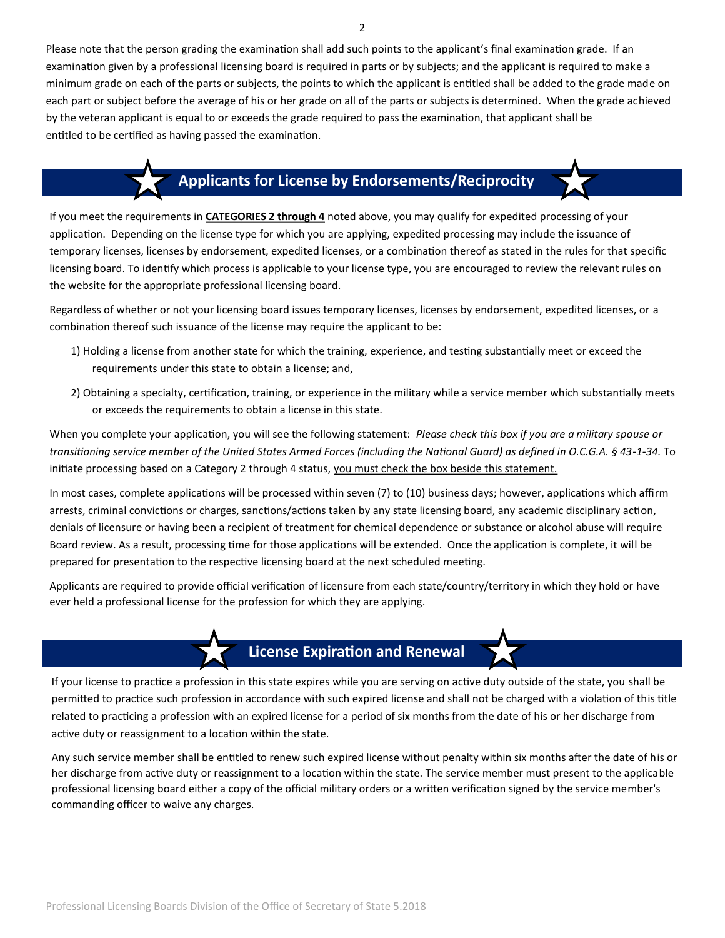Please note that the person grading the examination shall add such points to the applicant's final examination grade. If an examination given by a professional licensing board is required in parts or by subjects; and the applicant is required to make a minimum grade on each of the parts or subjects, the points to which the applicant is entitled shall be added to the grade made on each part or subject before the average of his or her grade on all of the parts or subjects is determined. When the grade achieved by the veteran applicant is equal to or exceeds the grade required to pass the examination, that applicant shall be entitled to be certified as having passed the examination.

# **Applicants for License by Endorsements/Reciprocity**

If you meet the requirements in **CATEGORIES 2 through 4** noted above, you may qualify for expedited processing of your application. Depending on the license type for which you are applying, expedited processing may include the issuance of temporary licenses, licenses by endorsement, expedited licenses, or a combination thereof as stated in the rules for that specific licensing board. To identify which process is applicable to your license type, you are encouraged to review the relevant rules on the website for the appropriate professional licensing board.

Regardless of whether or not your licensing board issues temporary licenses, licenses by endorsement, expedited licenses, or a combination thereof such issuance of the license may require the applicant to be:

- 1) Holding a license from another state for which the training, experience, and testing substantially meet or exceed the requirements under this state to obtain a license; and,
- 2) Obtaining a specialty, certification, training, or experience in the military while a service member which substantially meets or exceeds the requirements to obtain a license in this state.

When you complete your application, you will see the following statement: *Please check this box if you are a military spouse or transitioning service member of the United States Armed Forces (including the National Guard) as defined in O.C.G.A. § 43-1-34.* To initiate processing based on a Category 2 through 4 status, you must check the box beside this statement.

In most cases, complete applications will be processed within seven (7) to (10) business days; however, applications which affirm arrests, criminal convictions or charges, sanctions/actions taken by any state licensing board, any academic disciplinary action, denials of licensure or having been a recipient of treatment for chemical dependence or substance or alcohol abuse will require Board review. As a result, processing time for those applications will be extended. Once the application is complete, it will be prepared for presentation to the respective licensing board at the next scheduled meeting.

Applicants are required to provide official verification of licensure from each state/country/territory in which they hold or have ever held a professional license for the profession for which they are applying.

## **License Expiration and Renewal**

If your license to practice a profession in this state expires while you are serving on active duty outside of the state, you shall be permitted to practice such profession in accordance with such expired license and shall not be charged with a violation of this title related to practicing a profession with an expired license for a period of six months from the date of his or her discharge from active duty or reassignment to a location within the state.

Any such service member shall be entitled to renew such expired license without penalty within six months after the date of his or her discharge from active duty or reassignment to a location within the state. The service member must present to the applicable professional licensing board either a copy of the official military orders or a written verification signed by the service member's commanding officer to waive any charges.